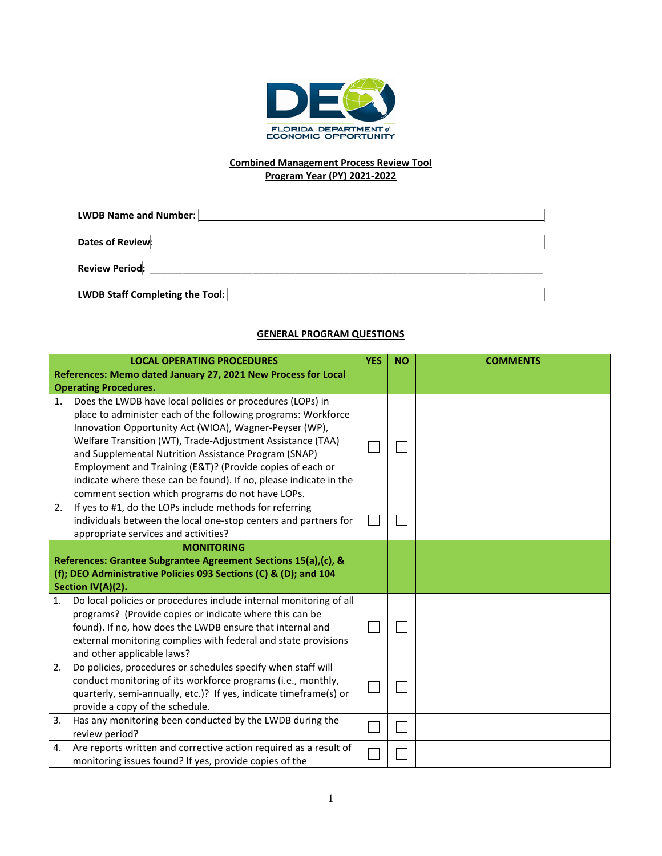

#### **Combined Management Process Review Tool Program Year (PY) 2021-2022**

| <b>LWDB Name and Number:</b>                                                                                   |  |
|----------------------------------------------------------------------------------------------------------------|--|
| Dates of Review Management Contract Contract Contract Contract Contract Contract Contract Contract Contract Co |  |
| Review Period: New York Prior (1995)                                                                           |  |
| LWDB Staff Completing the Tool:                                                                                |  |

## **GENERAL PROGRAM QUESTIONS**

|    | <b>LOCAL OPERATING PROCEDURES</b><br>References: Memo dated January 27, 2021 New Process for Local                                                                                                                                                                                                                                                                                                                                                                                                                               | <b>YES</b> | <b>NO</b> | <b>COMMENTS</b> |
|----|----------------------------------------------------------------------------------------------------------------------------------------------------------------------------------------------------------------------------------------------------------------------------------------------------------------------------------------------------------------------------------------------------------------------------------------------------------------------------------------------------------------------------------|------------|-----------|-----------------|
| 1. | <b>Operating Procedures.</b><br>Does the LWDB have local policies or procedures (LOPs) in<br>place to administer each of the following programs: Workforce<br>Innovation Opportunity Act (WIOA), Wagner-Peyser (WP),<br>Welfare Transition (WT), Trade-Adjustment Assistance (TAA)<br>and Supplemental Nutrition Assistance Program (SNAP)<br>Employment and Training (E&T)? (Provide copies of each or<br>indicate where these can be found). If no, please indicate in the<br>comment section which programs do not have LOPs. |            |           |                 |
| 2. | If yes to #1, do the LOPs include methods for referring<br>individuals between the local one-stop centers and partners for<br>appropriate services and activities?                                                                                                                                                                                                                                                                                                                                                               |            |           |                 |
|    | <b>MONITORING</b><br>References: Grantee Subgrantee Agreement Sections 15(a),(c), &<br>(f); DEO Administrative Policies 093 Sections (C) & (D); and 104<br>Section IV(A)(2).                                                                                                                                                                                                                                                                                                                                                     |            |           |                 |
| 1. | Do local policies or procedures include internal monitoring of all<br>programs? (Provide copies or indicate where this can be<br>found). If no, how does the LWDB ensure that internal and<br>external monitoring complies with federal and state provisions<br>and other applicable laws?                                                                                                                                                                                                                                       |            |           |                 |
| 2. | Do policies, procedures or schedules specify when staff will<br>conduct monitoring of its workforce programs (i.e., monthly,<br>quarterly, semi-annually, etc.)? If yes, indicate timeframe(s) or<br>provide a copy of the schedule.                                                                                                                                                                                                                                                                                             |            |           |                 |
| 3. | Has any monitoring been conducted by the LWDB during the<br>review period?                                                                                                                                                                                                                                                                                                                                                                                                                                                       |            |           |                 |
| 4. | Are reports written and corrective action required as a result of<br>monitoring issues found? If yes, provide copies of the                                                                                                                                                                                                                                                                                                                                                                                                      |            |           |                 |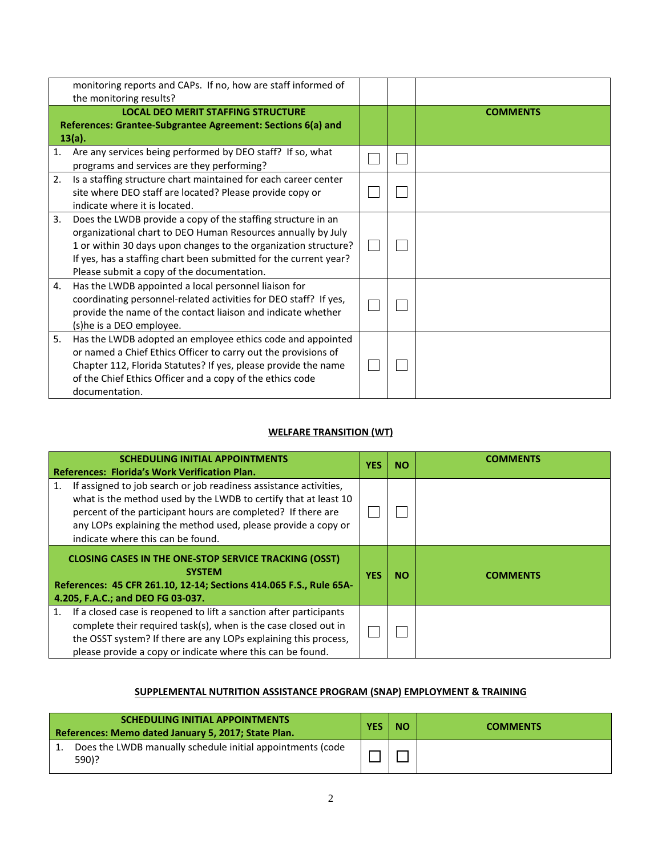|    | monitoring reports and CAPs. If no, how are staff informed of<br>the monitoring results?                                                                                                                                                                                                                           |  |                 |
|----|--------------------------------------------------------------------------------------------------------------------------------------------------------------------------------------------------------------------------------------------------------------------------------------------------------------------|--|-----------------|
|    | <b>LOCAL DEO MERIT STAFFING STRUCTURE</b><br>References: Grantee-Subgrantee Agreement: Sections 6(a) and<br>13(a).                                                                                                                                                                                                 |  | <b>COMMENTS</b> |
| 1. | Are any services being performed by DEO staff? If so, what<br>programs and services are they performing?                                                                                                                                                                                                           |  |                 |
| 2. | Is a staffing structure chart maintained for each career center<br>site where DEO staff are located? Please provide copy or<br>indicate where it is located.                                                                                                                                                       |  |                 |
| 3. | Does the LWDB provide a copy of the staffing structure in an<br>organizational chart to DEO Human Resources annually by July<br>1 or within 30 days upon changes to the organization structure?<br>If yes, has a staffing chart been submitted for the current year?<br>Please submit a copy of the documentation. |  |                 |
| 4. | Has the LWDB appointed a local personnel liaison for<br>coordinating personnel-related activities for DEO staff? If yes,<br>provide the name of the contact liaison and indicate whether<br>(s)he is a DEO employee.                                                                                               |  |                 |
| 5. | Has the LWDB adopted an employee ethics code and appointed<br>or named a Chief Ethics Officer to carry out the provisions of<br>Chapter 112, Florida Statutes? If yes, please provide the name<br>of the Chief Ethics Officer and a copy of the ethics code<br>documentation.                                      |  |                 |

# **WELFARE TRANSITION (WT)**

| <b>SCHEDULING INITIAL APPOINTMENTS</b><br><b>References: Florida's Work Verification Plan.</b>                                                                                                                                                                                                                   | <b>YES</b> | <b>NO</b> | <b>COMMENTS</b> |
|------------------------------------------------------------------------------------------------------------------------------------------------------------------------------------------------------------------------------------------------------------------------------------------------------------------|------------|-----------|-----------------|
| If assigned to job search or job readiness assistance activities,<br>1.<br>what is the method used by the LWDB to certify that at least 10<br>percent of the participant hours are completed? If there are<br>any LOPs explaining the method used, please provide a copy or<br>indicate where this can be found. |            |           |                 |
| <b>CLOSING CASES IN THE ONE-STOP SERVICE TRACKING (OSST)</b><br><b>SYSTEM</b><br>References: 45 CFR 261.10, 12-14; Sections 414.065 F.S., Rule 65A-<br>4.205, F.A.C.; and DEO FG 03-037.                                                                                                                         | <b>YES</b> | <b>NO</b> | <b>COMMENTS</b> |
| If a closed case is reopened to lift a sanction after participants<br>1.<br>complete their required task(s), when is the case closed out in<br>the OSST system? If there are any LOPs explaining this process,<br>please provide a copy or indicate where this can be found.                                     |            |           |                 |

## **SUPPLEMENTAL NUTRITION ASSISTANCE PROGRAM (SNAP) EMPLOYMENT & TRAINING**

| <b>SCHEDULING INITIAL APPOINTMENTS</b><br>References: Memo dated January 5, 2017; State Plan. | <b>YES</b> | <b>NO</b> | <b>COMMENTS</b> |
|-----------------------------------------------------------------------------------------------|------------|-----------|-----------------|
| Does the LWDB manually schedule initial appointments (code<br>590)?                           |            |           |                 |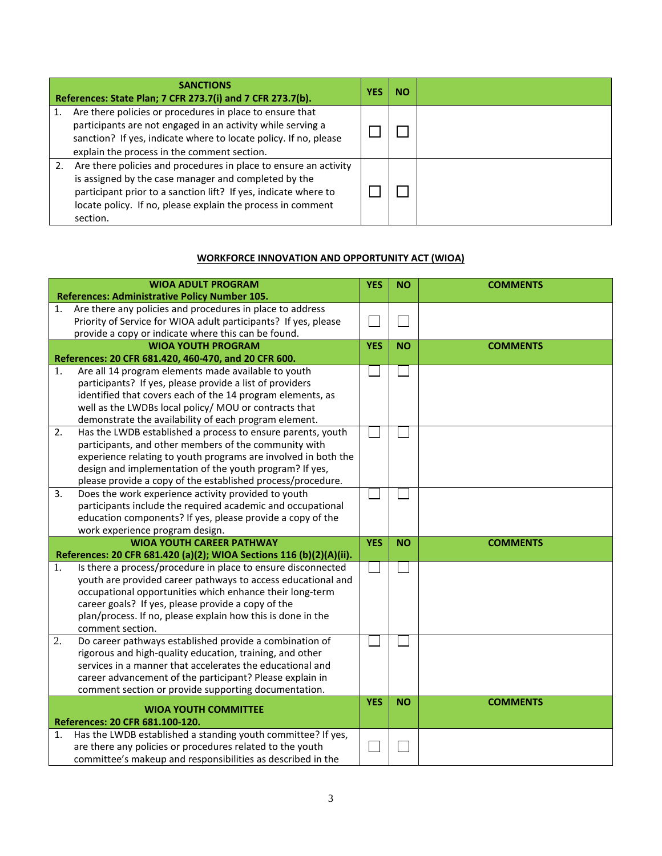| <b>SANCTIONS</b><br>References: State Plan; 7 CFR 273.7(i) and 7 CFR 273.7(b).                                                                                                                                                                                         | 1ES | <b>NO</b> |  |
|------------------------------------------------------------------------------------------------------------------------------------------------------------------------------------------------------------------------------------------------------------------------|-----|-----------|--|
| Are there policies or procedures in place to ensure that<br>participants are not engaged in an activity while serving a<br>sanction? If yes, indicate where to locate policy. If no, please<br>explain the process in the comment section.                             |     |           |  |
| Are there policies and procedures in place to ensure an activity<br>is assigned by the case manager and completed by the<br>participant prior to a sanction lift? If yes, indicate where to<br>locate policy. If no, please explain the process in comment<br>section. |     |           |  |

#### **WORKFORCE INNOVATION AND OPPORTUNITY ACT (WIOA)**

|    | <b>WIOA ADULT PROGRAM</b><br><b>References: Administrative Policy Number 105.</b>                                                   | <b>YES</b> | <b>NO</b> | <b>COMMENTS</b> |
|----|-------------------------------------------------------------------------------------------------------------------------------------|------------|-----------|-----------------|
| 1. | Are there any policies and procedures in place to address                                                                           |            |           |                 |
|    | Priority of Service for WIOA adult participants? If yes, please                                                                     |            |           |                 |
|    | provide a copy or indicate where this can be found.                                                                                 |            |           |                 |
|    | <b>WIOA YOUTH PROGRAM</b>                                                                                                           | <b>YES</b> | <b>NO</b> | <b>COMMENTS</b> |
|    | References: 20 CFR 681.420, 460-470, and 20 CFR 600.                                                                                |            |           |                 |
| 1. | Are all 14 program elements made available to youth<br>participants? If yes, please provide a list of providers                     |            |           |                 |
|    | identified that covers each of the 14 program elements, as                                                                          |            |           |                 |
|    | well as the LWDBs local policy/ MOU or contracts that                                                                               |            |           |                 |
|    | demonstrate the availability of each program element.                                                                               |            |           |                 |
| 2. | Has the LWDB established a process to ensure parents, youth                                                                         |            |           |                 |
|    | participants, and other members of the community with                                                                               |            |           |                 |
|    | experience relating to youth programs are involved in both the                                                                      |            |           |                 |
|    | design and implementation of the youth program? If yes,                                                                             |            |           |                 |
|    | please provide a copy of the established process/procedure.                                                                         |            |           |                 |
| 3. | Does the work experience activity provided to youth                                                                                 |            |           |                 |
|    | participants include the required academic and occupational                                                                         |            |           |                 |
|    | education components? If yes, please provide a copy of the                                                                          |            |           |                 |
|    | work experience program design.                                                                                                     |            |           |                 |
|    | <b>WIOA YOUTH CAREER PATHWAY</b>                                                                                                    | <b>YES</b> | <b>NO</b> | <b>COMMENTS</b> |
| 1. | References: 20 CFR 681.420 (a)(2); WIOA Sections 116 (b)(2)(A)(ii).<br>Is there a process/procedure in place to ensure disconnected |            |           |                 |
|    | youth are provided career pathways to access educational and                                                                        |            |           |                 |
|    | occupational opportunities which enhance their long-term                                                                            |            |           |                 |
|    | career goals? If yes, please provide a copy of the                                                                                  |            |           |                 |
|    | plan/process. If no, please explain how this is done in the                                                                         |            |           |                 |
|    | comment section.                                                                                                                    |            |           |                 |
| 2. | Do career pathways established provide a combination of                                                                             |            |           |                 |
|    | rigorous and high-quality education, training, and other                                                                            |            |           |                 |
|    | services in a manner that accelerates the educational and                                                                           |            |           |                 |
|    | career advancement of the participant? Please explain in                                                                            |            |           |                 |
|    | comment section or provide supporting documentation.                                                                                |            |           |                 |
|    | <b>WIOA YOUTH COMMITTEE</b>                                                                                                         | <b>YES</b> | <b>NO</b> | <b>COMMENTS</b> |
|    | References: 20 CFR 681.100-120.                                                                                                     |            |           |                 |
| 1. | Has the LWDB established a standing youth committee? If yes,                                                                        |            |           |                 |
|    | are there any policies or procedures related to the youth                                                                           |            |           |                 |
|    | committee's makeup and responsibilities as described in the                                                                         |            |           |                 |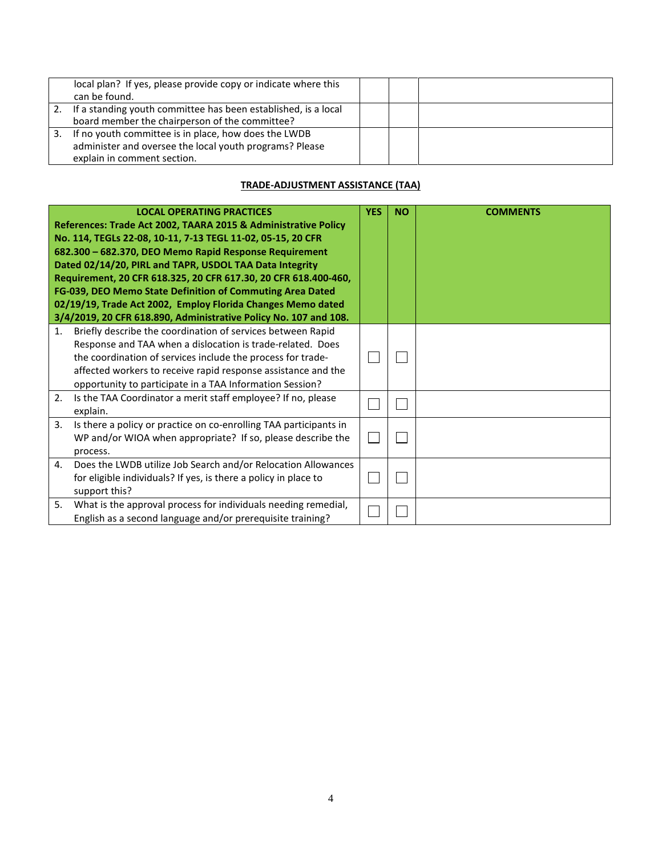|    | local plan? If yes, please provide copy or indicate where this<br>can be found.                                                                |  |  |
|----|------------------------------------------------------------------------------------------------------------------------------------------------|--|--|
| 2. | If a standing youth committee has been established, is a local<br>board member the chairperson of the committee?                               |  |  |
| 3. | If no youth committee is in place, how does the LWDB<br>administer and oversee the local youth programs? Please<br>explain in comment section. |  |  |

## **TRADE-ADJUSTMENT ASSISTANCE (TAA)**

|    | <b>LOCAL OPERATING PRACTICES</b><br>References: Trade Act 2002, TAARA 2015 & Administrative Policy<br>No. 114, TEGLs 22-08, 10-11, 7-13 TEGL 11-02, 05-15, 20 CFR<br>682.300 - 682.370, DEO Memo Rapid Response Requirement<br>Dated 02/14/20, PIRL and TAPR, USDOL TAA Data Integrity<br>Requirement, 20 CFR 618.325, 20 CFR 617.30, 20 CFR 618.400-460,<br>FG-039, DEO Memo State Definition of Commuting Area Dated<br>02/19/19, Trade Act 2002, Employ Florida Changes Memo dated<br>3/4/2019, 20 CFR 618.890, Administrative Policy No. 107 and 108. | <b>YES</b> | <b>NO</b> | <b>COMMENTS</b> |
|----|-----------------------------------------------------------------------------------------------------------------------------------------------------------------------------------------------------------------------------------------------------------------------------------------------------------------------------------------------------------------------------------------------------------------------------------------------------------------------------------------------------------------------------------------------------------|------------|-----------|-----------------|
| 1. | Briefly describe the coordination of services between Rapid<br>Response and TAA when a dislocation is trade-related. Does<br>the coordination of services include the process for trade-<br>affected workers to receive rapid response assistance and the<br>opportunity to participate in a TAA Information Session?                                                                                                                                                                                                                                     |            |           |                 |
| 2. | Is the TAA Coordinator a merit staff employee? If no, please<br>explain.                                                                                                                                                                                                                                                                                                                                                                                                                                                                                  |            |           |                 |
| 3. | Is there a policy or practice on co-enrolling TAA participants in<br>WP and/or WIOA when appropriate? If so, please describe the<br>process.                                                                                                                                                                                                                                                                                                                                                                                                              |            |           |                 |
| 4. | Does the LWDB utilize Job Search and/or Relocation Allowances<br>for eligible individuals? If yes, is there a policy in place to<br>support this?                                                                                                                                                                                                                                                                                                                                                                                                         |            |           |                 |
| 5. | What is the approval process for individuals needing remedial,<br>English as a second language and/or prerequisite training?                                                                                                                                                                                                                                                                                                                                                                                                                              |            |           |                 |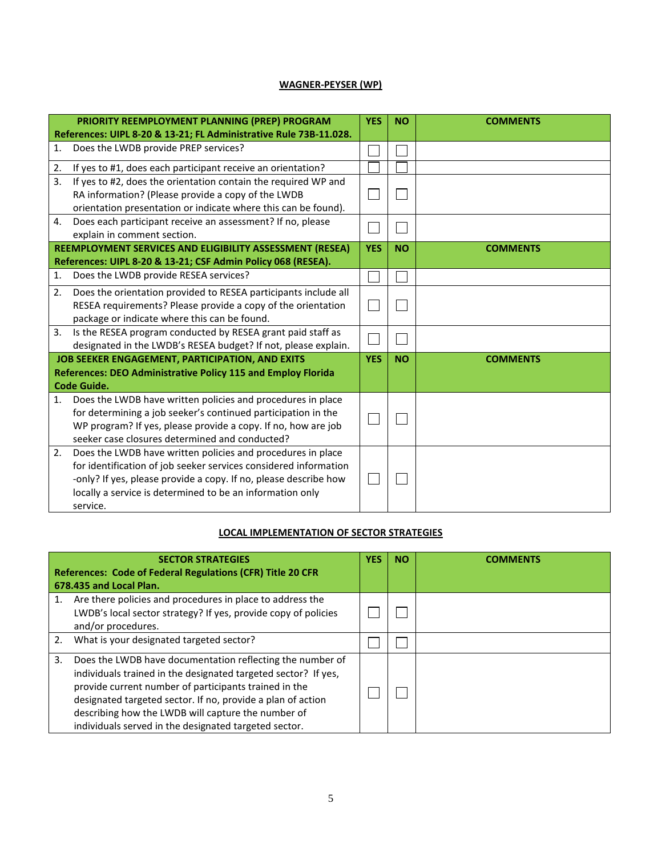## **WAGNER-PEYSER (WP)**

|    | PRIORITY REEMPLOYMENT PLANNING (PREP) PROGRAM                                                                                                                                                                                                                                | <b>YES</b> | <b>NO</b> | <b>COMMENTS</b> |
|----|------------------------------------------------------------------------------------------------------------------------------------------------------------------------------------------------------------------------------------------------------------------------------|------------|-----------|-----------------|
|    | References: UIPL 8-20 & 13-21; FL Administrative Rule 73B-11.028.                                                                                                                                                                                                            |            |           |                 |
| 1. | Does the LWDB provide PREP services?                                                                                                                                                                                                                                         |            |           |                 |
| 2. | If yes to #1, does each participant receive an orientation?                                                                                                                                                                                                                  |            |           |                 |
| 3. | If yes to #2, does the orientation contain the required WP and<br>RA information? (Please provide a copy of the LWDB<br>orientation presentation or indicate where this can be found).                                                                                       |            |           |                 |
| 4. | Does each participant receive an assessment? If no, please<br>explain in comment section.                                                                                                                                                                                    |            |           |                 |
|    | REEMPLOYMENT SERVICES AND ELIGIBILITY ASSESSMENT (RESEA)                                                                                                                                                                                                                     | <b>YES</b> | <b>NO</b> | <b>COMMENTS</b> |
|    | References: UIPL 8-20 & 13-21; CSF Admin Policy 068 (RESEA).                                                                                                                                                                                                                 |            |           |                 |
| 1. | Does the LWDB provide RESEA services?                                                                                                                                                                                                                                        |            |           |                 |
| 2. | Does the orientation provided to RESEA participants include all<br>RESEA requirements? Please provide a copy of the orientation<br>package or indicate where this can be found.                                                                                              |            |           |                 |
| 3. | Is the RESEA program conducted by RESEA grant paid staff as<br>designated in the LWDB's RESEA budget? If not, please explain.                                                                                                                                                |            |           |                 |
|    | <b>JOB SEEKER ENGAGEMENT, PARTICIPATION, AND EXITS</b>                                                                                                                                                                                                                       | <b>YES</b> | <b>NO</b> | <b>COMMENTS</b> |
|    | References: DEO Administrative Policy 115 and Employ Florida                                                                                                                                                                                                                 |            |           |                 |
|    | <b>Code Guide.</b>                                                                                                                                                                                                                                                           |            |           |                 |
| 1. | Does the LWDB have written policies and procedures in place<br>for determining a job seeker's continued participation in the<br>WP program? If yes, please provide a copy. If no, how are job<br>seeker case closures determined and conducted?                              |            |           |                 |
| 2. | Does the LWDB have written policies and procedures in place<br>for identification of job seeker services considered information<br>-only? If yes, please provide a copy. If no, please describe how<br>locally a service is determined to be an information only<br>service. |            |           |                 |

## **LOCAL IMPLEMENTATION OF SECTOR STRATEGIES**

|    | <b>SECTOR STRATEGIES</b><br>References: Code of Federal Regulations (CFR) Title 20 CFR<br>678.435 and Local Plan.                                                                                                                                                                                                                                                  | <b>YES</b> | <b>NO</b> | COMMENTS |
|----|--------------------------------------------------------------------------------------------------------------------------------------------------------------------------------------------------------------------------------------------------------------------------------------------------------------------------------------------------------------------|------------|-----------|----------|
| 1. | Are there policies and procedures in place to address the<br>LWDB's local sector strategy? If yes, provide copy of policies<br>and/or procedures.                                                                                                                                                                                                                  |            |           |          |
| 2. | What is your designated targeted sector?                                                                                                                                                                                                                                                                                                                           |            |           |          |
| 3. | Does the LWDB have documentation reflecting the number of<br>individuals trained in the designated targeted sector? If yes,<br>provide current number of participants trained in the<br>designated targeted sector. If no, provide a plan of action<br>describing how the LWDB will capture the number of<br>individuals served in the designated targeted sector. |            |           |          |